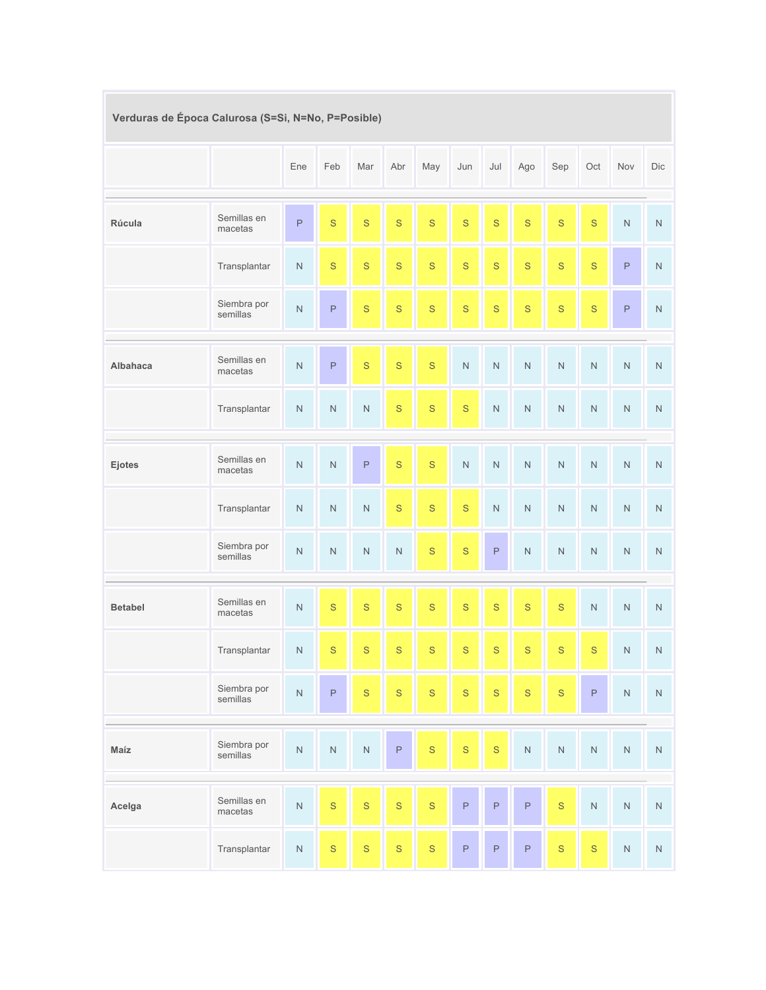| Verduras de Época Calurosa (S=Si, N=No, P=Posible) |                         |             |                |             |              |              |             |                |              |              |             |             |           |
|----------------------------------------------------|-------------------------|-------------|----------------|-------------|--------------|--------------|-------------|----------------|--------------|--------------|-------------|-------------|-----------|
|                                                    |                         | Ene         | Feb            | Mar         | Abr          | May          | Jun         | Jul            | Ago          | Sep          | Oct         | Nov         | Dic       |
| Rúcula                                             | Semillas en<br>macetas  | $\mathsf P$ | S              | $\mathbf S$ | $\mathbf S$  | $\mathbf S$  | $\mathbf S$ | S              | $\mathbf S$  | $\mathsf{s}$ | $\mathbf S$ | $\hbox{N}$  | ${\sf N}$ |
|                                                    | Transplantar            | ${\sf N}$   | S              | $\mathbf S$ | $\mathbf S$  | $\mathsf{S}$ | $\mathbf S$ | $\mathbf S$    | $\mathbf S$  | $\mathsf{s}$ | $\mathbf S$ | $\mathsf P$ | ${\sf N}$ |
|                                                    | Siembra por<br>semillas | $\hbox{N}$  | $\mathsf P$    | $\mathbf S$ | $\mathbf S$  | $\mathbf S$  | $\mathbf S$ | $\mathbf S$    | $\mathbf S$  | $\mathbf S$  | $\mathbf S$ | $\mathsf P$ | ${\sf N}$ |
| <b>Albahaca</b>                                    | Semillas en<br>macetas  | $\hbox{N}$  | $\mathsf P$    | $\mathbf S$ | $\mathbf S$  | $\mathbf S$  | $\hbox{N}$  | $\hbox{N}$     | ${\sf N}$    | ${\sf N}$    | ${\sf N}$   | $\hbox{N}$  | ${\sf N}$ |
|                                                    | Transplantar            | $\mathsf N$ | $\mathsf N$    | ${\sf N}$   | $\mathbf S$  | $\mathbf S$  | $\mathbf S$ | $\mathsf N$    | ${\sf N}$    | $\hbox{N}$   | ${\sf N}$   | ${\sf N}$   | ${\sf N}$ |
| Ejotes                                             | Semillas en<br>macetas  | ${\sf N}$   | $\overline{N}$ | $\mathsf P$ | $\mathbf S$  | S            | $\hbox{N}$  | $\overline{N}$ | ${\sf N}$    | $\hbox{N}$   | $\hbox{N}$  | ${\sf N}$   | ${\sf N}$ |
|                                                    | Transplantar            | $\hbox{N}$  | $\mathsf N$    | ${\sf N}$   | $\mathbf S$  | $\mathbf S$  | $\mathbf S$ | $\hbox{N}$     | ${\sf N}$    | $\hbox{N}$   | ${\sf N}$   | ${\sf N}$   | ${\sf N}$ |
|                                                    | Siembra por<br>semillas | $\hbox{N}$  | $\mathsf N$    | $\mathsf N$ | ${\sf N}$    | $\mathbf S$  | $\mathbf S$ | $\mathsf P$    | ${\sf N}$    | $\hbox{N}$   | ${\sf N}$   | ${\sf N}$   | ${\sf N}$ |
| <b>Betabel</b>                                     | Semillas en<br>macetas  | ${\sf N}$   | $\mathbf S$    | $\mathbf S$ | $\mathbf S$  | $\mathbf S$  | $\mathbf S$ | S              | $\mathbf S$  | $\mathbf S$  | ${\sf N}$   | $\mathsf N$ | ${\sf N}$ |
|                                                    | Transplantar            | $\hbox{N}$  | $\mathbf S$    | $\mathbf S$ | $\mathbf S$  | $\mathbf S$  | $\mathbf S$ | $\mathbf S$    | $\mathbf S$  | $\mathbf S$  | $\mathbf S$ | $\hbox{N}$  | ${\sf N}$ |
|                                                    | Siembra por<br>semillas | $\hbox{N}$  | $\mathsf P$    | $\mathbf S$ | $\mathsf{S}$ | $\mathbf S$  | $\mathbf S$ | $\mathsf{S}$   | $\mathsf{S}$ | $\mathbf S$  | $\mathsf P$ | $\hbox{N}$  | ${\sf N}$ |
| Maíz                                               | Siembra por<br>semillas | $\hbox{N}$  | ${\sf N}$      | $\hbox{N}$  | $\mathsf P$  | $\mathbf S$  | $\mathbf S$ | $\mathbf S$    | $\hbox{N}$   | ${\sf N}$    | ${\sf N}$   | $\hbox{N}$  | ${\sf N}$ |
| Acelga                                             | Semillas en<br>macetas  | $\hbox{N}$  | $\mathsf{S}$   | $\mathbf S$ | $\mathbf S$  | $\mathbf S$  | $\mathsf P$ | $\mathsf P$    | $\mathsf P$  | $\mathbf S$  | $\hbox{N}$  | ${\sf N}$   | ${\sf N}$ |
|                                                    | Transplantar            | ${\sf N}$   | $\mathbf S$    | $\mathsf S$ | $\mathbf S$  | $\mathbf S$  | $\mathsf P$ | $\mathsf P$    | $\mathsf P$  | $\mathbf S$  | $\mathbf S$ | $\hbox{N}$  | ${\sf N}$ |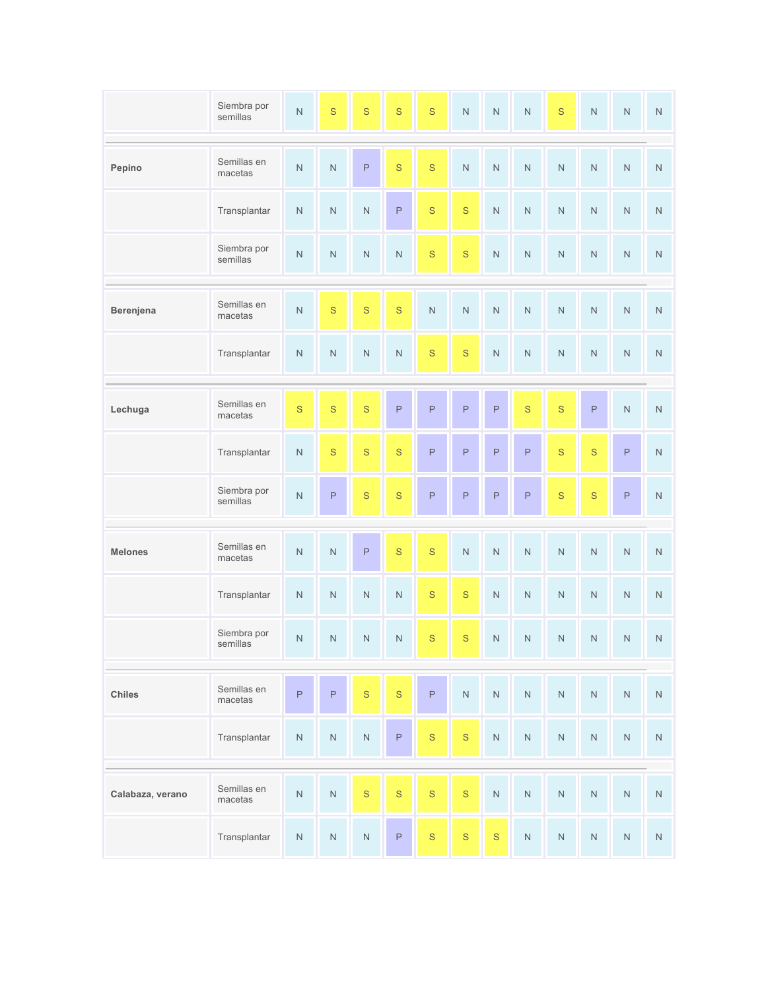|                  | Siembra por<br>semillas | $\hbox{N}$  | $\mathbf S$    | $\mathbf S$             | $\mathbf S$ | $\mathbf S$             | $\overline{N}$          | $\mathsf N$             | $\bar{\rm N}$    | $\mathbf S$ | ${\sf N}$   | $\hbox{N}$     | ${\sf N}$          |
|------------------|-------------------------|-------------|----------------|-------------------------|-------------|-------------------------|-------------------------|-------------------------|------------------|-------------|-------------|----------------|--------------------|
|                  | Semillas en             |             |                |                         |             |                         |                         |                         |                  |             |             |                |                    |
| Pepino           | macetas                 | $\hbox{N}$  | $\mathsf N$    | $\mathsf P$             | $\mathbf S$ | $\mathbf S$             | $\mathsf N$             | $\mathsf N$             | $\hbox{N}$       | ${\sf N}$   | $\hbox{N}$  | $\mathsf N$    | $\hbox{N}$         |
|                  | Transplantar            | ${\sf N}$   | $\hbox{N}$     | ${\sf N}$               | $\mathsf P$ | $\mathbf S$             | $\mathbf S$             | $\mathsf N$             | ${\sf N}$        | ${\sf N}$   | ${\sf N}$   | $\hbox{N}$     | ${\sf N}$          |
|                  | Siembra por<br>semillas | $\hbox{N}$  | ${\sf N}$      | $\overline{\mathsf{N}}$ | $\hbox{N}$  | $\mathbf S$             | $\mathbf S$             | $\overline{\mathsf{N}}$ | $\bar{\rm N}$    | ${\sf N}$   | ${\sf N}$   | $\hbox{N}$     | ${\sf N}$          |
| Berenjena        | Semillas en<br>macetas  | $\hbox{N}$  | $\mathbf S$    | $\mathbf S$             | $\mathbf S$ | $\overline{\mathsf{N}}$ | $\mathsf N$             | $\mathsf N$             | $\hbox{N}$       | ${\sf N}$   | ${\sf N}$   | $\overline{N}$ | ${\sf N}$          |
|                  | Transplantar            | ${\sf N}$   | ${\sf N}$      | $\mathsf N$             | $\hbox{N}$  | $\mathbf S$             | $\mathbf S$             | $\hbox{N}$              | ${\sf N}$        | ${\sf N}$   | ${\sf N}$   | $\hbox{N}$     | ${\sf N}$          |
|                  | Semillas en             | $\mathbf S$ | $\mathbf S$    | $\mathbf S$             | $\mathsf P$ | $\mathsf{P}$            | $\mathsf{P}$            | $\mathsf P$             | $\mathbf S$      | $\mathbf S$ |             | $\bar{\rm N}$  |                    |
| Lechuga          | macetas                 |             |                |                         |             |                         |                         |                         |                  |             | $\mathsf P$ |                | $\hbox{N}$         |
|                  | Transplantar            | ${\sf N}$   | $\mathbf S$    | $\mathbf S$             | $\mathbf S$ | $\mathsf{P}$            | $\mathsf P$             | $\mathsf{P}$            | $\mathsf P$      | $\mathbf S$ | $\mathbf S$ | $\mathsf P$    | $\bar{\mathsf{N}}$ |
|                  | Siembra por<br>semillas | $\hbox{N}$  | $\mathsf P$    | $\mathbf S$             | $\mathbf S$ | $\mathsf{P}$            | $\mathsf P$             | $\mathsf P$             | $\mathsf P$      | $\mathbf S$ | $\mathbf S$ | $\mathsf P$    | $\bar{\mathsf{N}}$ |
|                  |                         |             |                |                         |             |                         |                         |                         |                  |             |             |                |                    |
| <b>Melones</b>   | Semillas en<br>macetas  | ${\sf N}$   | $\overline{N}$ | $\mathsf P$             | $\mathbf S$ | $\mathbf S$             | $\overline{\mathsf{N}}$ | $\mathsf N$             | $\bar{\rm N}$    | ${\sf N}$   | ${\sf N}$   | $\hbox{N}$     | ${\sf N}$          |
|                  | Transplantar            | ${\sf N}$   | $\hbox{N}$     | ${\sf N}$               | $\hbox{N}$  | $\mathbf S$             | $\mathbf S$             | $\hbox{N}$              | $\bar{\rm N}$    | ${\sf N}$   | ${\sf N}$   | ${\sf N}$      | ${\sf N}$          |
|                  | Siembra por<br>semillas | ${\sf N}$   | $\hbox{N}$     | $\hbox{N}$              | ${\sf N}$   | $\mathbf S$             | $\mathbf S$             | $\hbox{N}$              | ${\sf N}$        | $\hbox{N}$  | ${\sf N}$   | $\hbox{N}$     | ${\sf N}$          |
| Chiles           | Semillas en<br>macetas  | P           | $\mathsf P$    | $\mathbf S$             | $\mathbf S$ | $\mathsf P$             | $\hbox{N}$              | ${\sf N}$               | ${\sf N}$        | ${\sf N}$   | ${\sf N}$   | ${\sf N}$      | ${\sf N}$          |
|                  | Transplantar            | ${\sf N}$   | $\hbox{N}$     | ${\sf N}$               | P           | $\mathbf S$             | S                       | ${\sf N}$               | ${\sf N}$        | ${\sf N}$   | ${\sf N}$   | ${\sf N}$      | $\hbox{N}$         |
|                  |                         |             |                |                         |             |                         |                         |                         |                  |             |             |                |                    |
| Calabaza, verano | Semillas en<br>macetas  | $\hbox{N}$  | $\hbox{N}$     | $\mathbf S$             | $\mathbf S$ | $\mathbf S$             | $\mathsf{S}$            | $\hbox{N}$              | $\bar{\text{N}}$ | ${\sf N}$   | $\hbox{N}$  | $\hbox{N}$     | $\hbox{N}$         |
|                  | Transplantar            | ${\sf N}$   | ${\sf N}$      | ${\sf N}$               | $\mathsf P$ | $\mathbf S$             | $\mathbf S$             | $\mathbf S$             | ${\sf N}$        | ${\sf N}$   | ${\sf N}$   | ${\sf N}$      | ${\sf N}$          |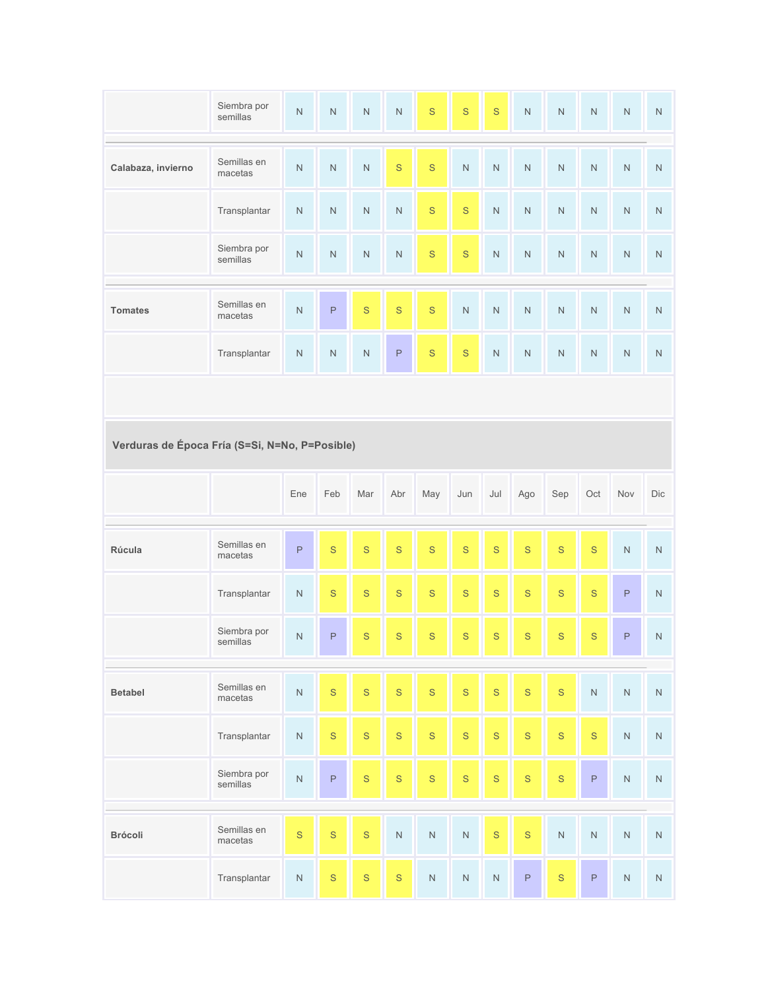|                                                | Siembra por<br>semillas | $\mathsf N$ | ${\sf N}$               | $\mathsf N$             | ${\sf N}$   | $\mathbf S$  | $\mathbf S$    | $\mathbf S$    | $\bar{\rm N}$ | $\mathsf{N}$ | $\hbox{N}$     | ${\sf N}$   | $\hbox{N}$ |
|------------------------------------------------|-------------------------|-------------|-------------------------|-------------------------|-------------|--------------|----------------|----------------|---------------|--------------|----------------|-------------|------------|
| Calabaza, invierno                             | Semillas en<br>macetas  | ${\sf N}$   | $\overline{\mathsf{N}}$ | $\overline{\mathsf{N}}$ | $\mathbf S$ | $\mathbf S$  | $\overline{N}$ | $\overline{N}$ | $\bar{\rm N}$ | $\hbox{N}$   | $\overline{N}$ | $\hbox{N}$  | ${\sf N}$  |
|                                                | Transplantar            | $\hbox{N}$  | $\mathsf N$             | $\overline{\mathsf{N}}$ | ${\sf N}$   | $\mathbf S$  | $\mathbf S$    | $\overline{N}$ | $\hbox{N}$    | $\hbox{N}$   | $\hbox{N}$     | ${\sf N}$   | ${\sf N}$  |
|                                                | Siembra por<br>semillas | ${\sf N}$   | ${\sf N}$               | $\overline{\mathsf{N}}$ | ${\sf N}$   | $\mathbf S$  | $\mathbf S$    | $\overline{N}$ | ${\sf N}$     | ${\sf N}$    | $\hbox{N}$     | ${\sf N}$   | ${\sf N}$  |
| <b>Tomates</b>                                 | Semillas en<br>macetas  | $\hbox{N}$  | $\mathsf P$             | $\mathbf S$             | $\mathbf S$ | S            | $\overline{N}$ | $\overline{N}$ | $\bar{\rm N}$ | $\hbox{N}$   | $\hbox{N}$     | ${\sf N}$   | ${\sf N}$  |
|                                                | Transplantar            | ${\sf N}$   | $\mathsf N$             | $\overline{\mathsf{N}}$ | $\mathsf P$ | $\mathbf S$  | $\mathbf S$    | $\hbox{N}$     | ${\sf N}$     | $\hbox{N}$   | $\mathsf N$    | ${\sf N}$   | $\hbox{N}$ |
|                                                |                         |             |                         |                         |             |              |                |                |               |              |                |             |            |
| Verduras de Época Fría (S=Si, N=No, P=Posible) |                         |             |                         |                         |             |              |                |                |               |              |                |             |            |
|                                                |                         |             |                         |                         |             |              |                |                |               |              |                |             |            |
|                                                |                         | Ene         | Feb                     | Mar                     | Abr         | May          | Jun            | Jul            | Ago           | Sep          | Oct            | Nov         | Dic        |
| Rúcula                                         | Semillas en<br>macetas  | $\mathsf P$ | S                       | $\mathbf S$             | $\mathbf S$ | S            | $\mathbf S$    | $\mathbf S$    | $\mathbf S$   | $\mathbf S$  | $\mathbf S$    | ${\sf N}$   | $\hbox{N}$ |
|                                                | Transplantar            | $\mathsf N$ | S                       | $\mathbf S$             | $\mathbf S$ | $\mathsf{S}$ | $\mathbf S$    | $\mathbf S$    | $\mathbf S$   | $\mathbf S$  | $\mathbf S$    | $\mathsf P$ | $\hbox{N}$ |
|                                                | Siembra por<br>semillas | $\mathsf N$ | $\mathsf P$             | $\mathbf S$             | $\mathbf S$ | $\mathbf S$  | $\mathbf S$    | $\mathbf S$    | $\mathbf S$   | $\mathbf S$  | $\mathbf S$    | $\mathsf P$ | ${\sf N}$  |
| <b>Betabel</b>                                 | Semillas en<br>macetas  | $\hbox{N}$  | $\mathbf S$             | $\mathbf S$             | $\mathbf S$ | $\mathbf S$  | $\mathbf S$    | $\mathbf S$    | $\mathbf S$   | $\mathbf S$  | ${\sf N}$      | ${\sf N}$   | ${\sf N}$  |
|                                                | Transplantar            | ${\sf N}$   | $\mathbf S$             | $\mathsf S$             | $\mathbf S$ | $\mathbf S$  | $\mathsf S$    | $\mathbf S$    | $\mathbf S$   | $\mathbf S$  | $\mathbf S$    | $\hbox{N}$  | ${\sf N}$  |
|                                                | Siembra por<br>semillas | $\hbox{N}$  | $\mathsf P$             | $\mathbf S$             | $\mathsf S$ | $\mathbf S$  | $\mathbf S$    | $\mathbf S$    | $\mathbf S$   | $\mathbf S$  | $\mathsf P$    | $\hbox{N}$  | ${\sf N}$  |
| Brócoli                                        | Semillas en<br>macetas  | $\mathbf S$ | $\mathbf S$             | $\mathbf S$             | ${\sf N}$   | $\hbox{N}$   | $\hbox{N}$     | $\mathbf S$    | $\mathbf S$   | ${\sf N}$    | ${\sf N}$      | ${\sf N}$   | ${\sf N}$  |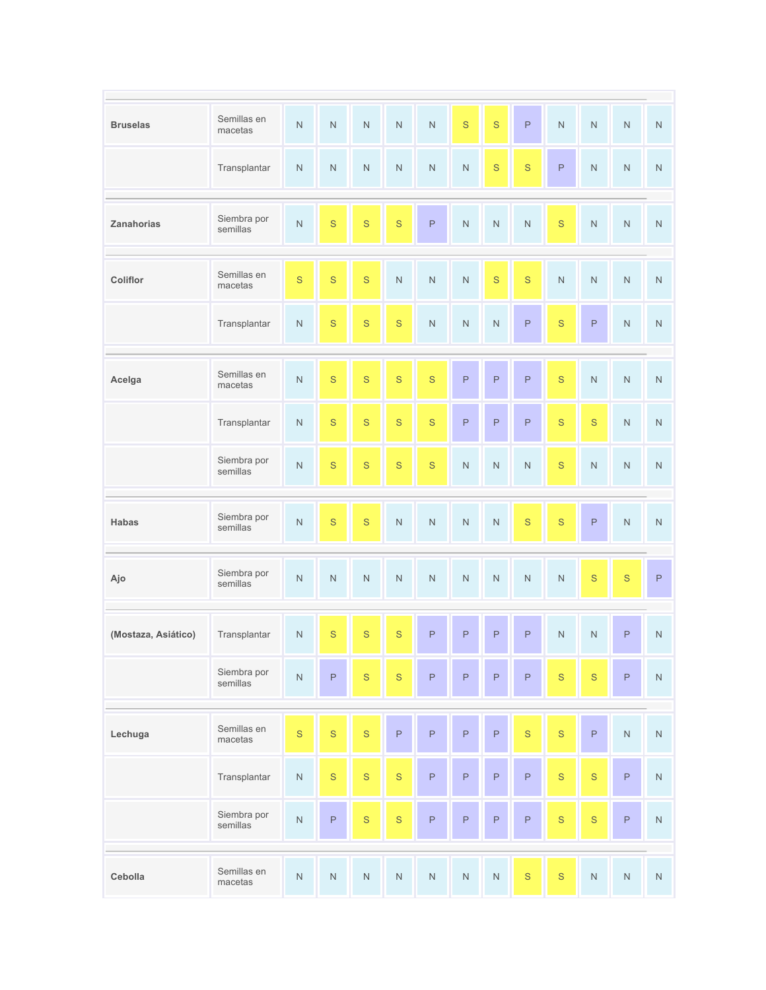| <b>Bruselas</b>     | Semillas en<br>macetas  | $\hbox{N}$    | $\hbox{N}$   | $\hbox{N}$   | $\hbox{N}$    | $\mathsf N$             | $\mathbf S$             | $\mathbf S$             | $\mathsf P$             | $\mathsf N$ | ${\sf N}$   | ${\sf N}$   | ${\sf N}$   |
|---------------------|-------------------------|---------------|--------------|--------------|---------------|-------------------------|-------------------------|-------------------------|-------------------------|-------------|-------------|-------------|-------------|
|                     | Transplantar            | $\mathsf N$   | $\hbox{N}$   | ${\sf N}$    | $\hbox{N}$    | $\hbox{N}$              | $\hbox{N}$              | $\mathbf S$             | $\mathbf S$             | $\mathsf P$ | ${\sf N}$   | $\mathsf N$ | ${\sf N}$   |
| Zanahorias          | Siembra por<br>semillas | $\hbox{N}$    | $\mathbf S$  | $\mathbf S$  | $\mathbf S$   | $\mathsf P$             | $\overline{\mathsf{N}}$ | $\overline{\mathsf{N}}$ | $\overline{\mathsf{N}}$ | $\mathbf S$ | ${\sf N}$   | ${\sf N}$   | ${\sf N}$   |
| Coliflor            | Semillas en<br>macetas  | $\mathbf{s}$  | $\mathsf{S}$ | $\mathbf S$  | $\bar{\rm N}$ | $\overline{\mathsf{N}}$ | $\bar{\rm N}$           | $\mathbf S$             | $\mathbf S$             | $\hbox{N}$  | $\hbox{N}$  | $\hbox{N}$  | ${\sf N}$   |
|                     | Transplantar            | ${\sf N}$     | $\mathbf S$  | $\mathbf S$  | $\mathbf S$   | $\overline{\mathsf{N}}$ | $\hbox{N}$              | $\hbox{N}$              | $\mathsf P$             | $\mathbf S$ | $\mathsf P$ | $\hbox{N}$  | ${\sf N}$   |
| Acelga              | Semillas en<br>macetas  | $\hbox{N}$    | $\mathsf{S}$ | $\mathbf S$  | $\mathsf{s}$  | $\mathsf{S}$            | $\mathsf P$             | $\mathsf P$             | $\mathsf P$             | $\mathbf S$ | $\hbox{N}$  | $\hbox{N}$  | ${\sf N}$   |
|                     | Transplantar            | ${\sf N}$     | $\mathbf S$  | $\mathbf S$  | $\mathbf S$   | $\mathbf S$             | $\mathsf P$             | $\mathsf P$             | $\mathsf P$             | $\mathbf S$ | $\mathbf S$ | $\hbox{N}$  | ${\sf N}$   |
|                     | Siembra por<br>semillas | $\mathsf N$   | $\mathbf S$  | $\mathbf S$  | $\mathbf S$   | $\mathbf S$             | $\mathsf N$             | $\mathsf{N}$            | $\bar{\rm N}$           | $\mathbf S$ | ${\sf N}$   | ${\sf N}$   | ${\sf N}$   |
| Habas               | Siembra por<br>semillas | $\hbox{N}$    | $\mathbf S$  | $\mathbf S$  | $\hbox{N}$    | $\hbox{N}$              | $\overline{\mathsf{N}}$ | $\hbox{N}$              | $\mathbf S$             | S           | $\mathsf P$ | ${\sf N}$   | ${\sf N}$   |
| Ajo                 | Siembra por<br>semillas | $\mathsf N$   | $\hbox{N}$   | $\hbox{N}$   | ${\sf N}$     | $\hbox{N}$              | $\hbox{N}$              | $\hbox{N}$              | $\hbox{N}$              | ${\sf N}$   | $\mathbf S$ | $\mathbf S$ | $\mathsf P$ |
| (Mostaza, Asiático) | Transplantar            | ${\sf N}$     | $\mathbf S$  | $\mathbf S$  | $\mathsf{S}$  | $\mathsf P$             | $\mathsf P$             | $\mathsf P$             | $\mathsf P$             | $\hbox{N}$  | $\mathsf N$ | $\mathsf P$ | ${\sf N}$   |
|                     | Siembra por<br>semillas | $\bar{\rm N}$ | $\mathsf P$  | $\mathsf{S}$ | $\mathsf{S}$  | $\mathsf P$             | P                       | $\mathsf{P}$            | $\mathsf P$             | $\mathbf S$ | $\mathbf S$ | $\mathsf P$ | $\hbox{N}$  |
| Lechuga             | Semillas en<br>macetas  | $\mathbf S$   | $\mathbf S$  | $\mathbf S$  | $\mathsf P$   | $\mathsf P$             | $\mathsf P$             | $\mathsf P$             | $\mathbf S$             | $\mathbf S$ | $\mathsf P$ | $\hbox{N}$  | $\hbox{N}$  |
|                     | Transplantar            | ${\sf N}$     | $\mathbf S$  | $\mathsf S$  | $\mathbf S$   | $\mathsf P$             | $\mathsf P$             | $\mathsf P$             | $\mathsf P$             | $\mathbf S$ | $\mathbf S$ | $\mathsf P$ | ${\sf N}$   |
|                     | Siembra por<br>semillas | $\bar{\rm N}$ | $\mathsf P$  | $\mathsf{S}$ | $\mathbf S$   | $\mathsf P$             | $\mathsf P$             | $\mathsf P$             | $\mathsf P$             | $\mathbf S$ | $\mathbf S$ | $\mathsf P$ | $\hbox{N}$  |
| Cebolla             | Semillas en<br>macetas  | $\hbox{N}$    | ${\sf N}$    | ${\sf N}$    | ${\sf N}$     | ${\sf N}$               | ${\sf N}$               | ${\sf N}$               | $\mathbf S$             | $\mathbf S$ | ${\sf N}$   | ${\sf N}$   | ${\sf N}$   |